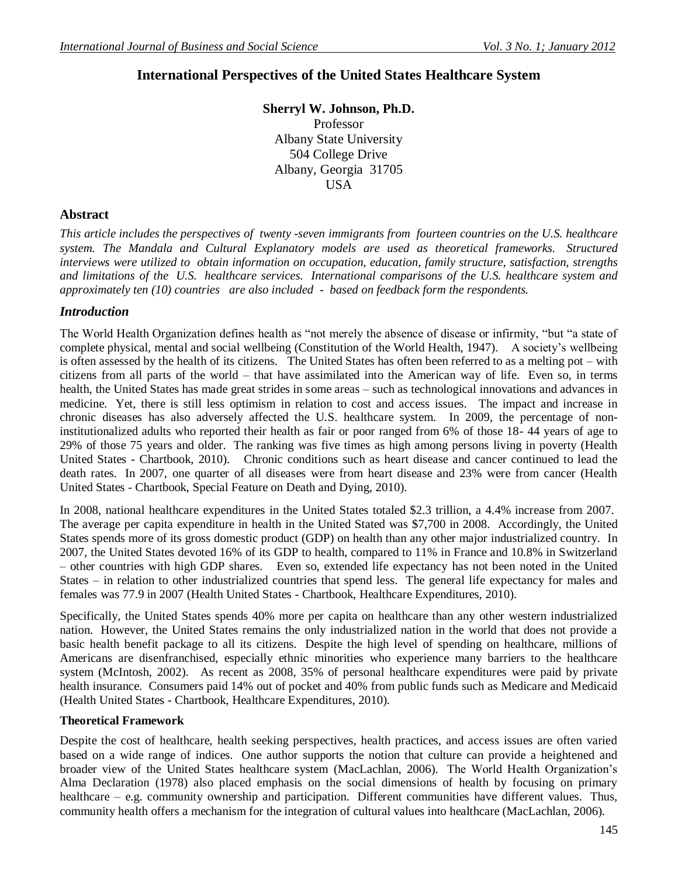# **International Perspectives of the United States Healthcare System**

**Sherryl W. Johnson, Ph.D.** Professor Albany State University 504 College Drive Albany, Georgia 31705

**USA** 

### **Abstract**

*This article includes the perspectives of twenty -seven immigrants from fourteen countries on the U.S. healthcare system. The Mandala and Cultural Explanatory models are used as theoretical frameworks. Structured interviews were utilized to obtain information on occupation, education, family structure, satisfaction, strengths and limitations of the U.S. healthcare services. International comparisons of the U.S. healthcare system and approximately ten (10) countries are also included - based on feedback form the respondents.*

### *Introduction*

The World Health Organization defines health as "not merely the absence of disease or infirmity, "but "a state of complete physical, mental and social wellbeing (Constitution of the World Health, 1947). A society's wellbeing is often assessed by the health of its citizens. The United States has often been referred to as a melting pot – with citizens from all parts of the world – that have assimilated into the American way of life. Even so, in terms health, the United States has made great strides in some areas – such as technological innovations and advances in medicine. Yet, there is still less optimism in relation to cost and access issues. The impact and increase in chronic diseases has also adversely affected the U.S. healthcare system. In 2009, the percentage of noninstitutionalized adults who reported their health as fair or poor ranged from 6% of those 18- 44 years of age to 29% of those 75 years and older. The ranking was five times as high among persons living in poverty (Health United States - Chartbook, 2010). Chronic conditions such as heart disease and cancer continued to lead the death rates. In 2007, one quarter of all diseases were from heart disease and 23% were from cancer (Health United States - Chartbook, Special Feature on Death and Dying, 2010).

In 2008, national healthcare expenditures in the United States totaled \$2.3 trillion, a 4.4% increase from 2007. The average per capita expenditure in health in the United Stated was \$7,700 in 2008. Accordingly, the United States spends more of its gross domestic product (GDP) on health than any other major industrialized country. In 2007, the United States devoted 16% of its GDP to health, compared to 11% in France and 10.8% in Switzerland – other countries with high GDP shares. Even so, extended life expectancy has not been noted in the United States – in relation to other industrialized countries that spend less. The general life expectancy for males and females was 77.9 in 2007 (Health United States - Chartbook, Healthcare Expenditures, 2010).

Specifically, the United States spends 40% more per capita on healthcare than any other western industrialized nation. However, the United States remains the only industrialized nation in the world that does not provide a basic health benefit package to all its citizens. Despite the high level of spending on healthcare, millions of Americans are disenfranchised, especially ethnic minorities who experience many barriers to the healthcare system (McIntosh, 2002). As recent as 2008, 35% of personal healthcare expenditures were paid by private health insurance. Consumers paid 14% out of pocket and 40% from public funds such as Medicare and Medicaid (Health United States - Chartbook, Healthcare Expenditures, 2010).

### **Theoretical Framework**

Despite the cost of healthcare, health seeking perspectives, health practices, and access issues are often varied based on a wide range of indices. One author supports the notion that culture can provide a heightened and broader view of the United States healthcare system (MacLachlan, 2006). The World Health Organization's Alma Declaration (1978) also placed emphasis on the social dimensions of health by focusing on primary healthcare – e.g. community ownership and participation. Different communities have different values. Thus, community health offers a mechanism for the integration of cultural values into healthcare (MacLachlan, 2006).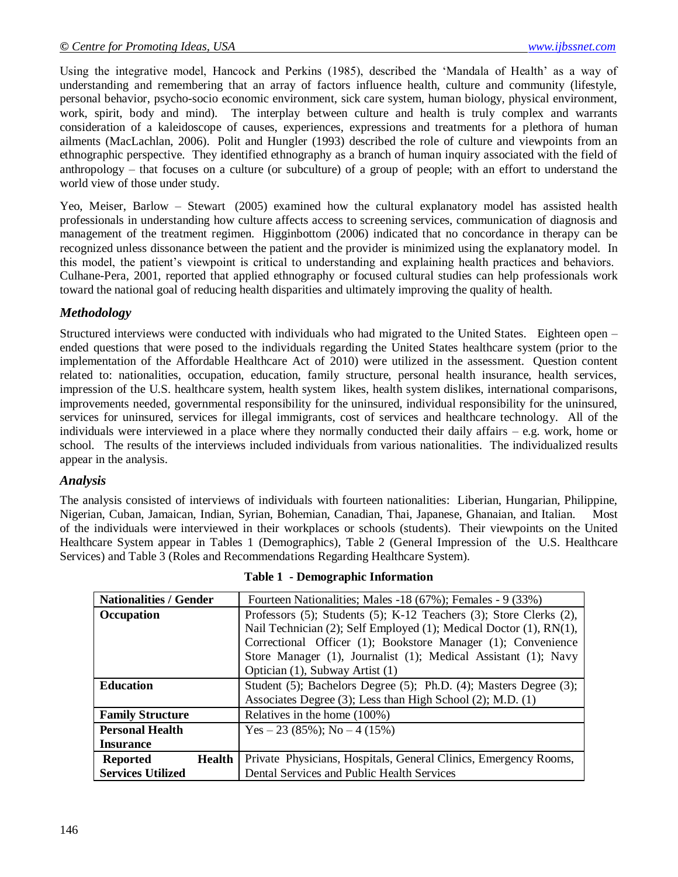Using the integrative model, Hancock and Perkins (1985), described the 'Mandala of Health' as a way of understanding and remembering that an array of factors influence health, culture and community (lifestyle, personal behavior, psycho-socio economic environment, sick care system, human biology, physical environment, work, spirit, body and mind). The interplay between culture and health is truly complex and warrants consideration of a kaleidoscope of causes, experiences, expressions and treatments for a plethora of human ailments (MacLachlan, 2006). Polit and Hungler (1993) described the role of culture and viewpoints from an ethnographic perspective. They identified ethnography as a branch of human inquiry associated with the field of anthropology – that focuses on a culture (or subculture) of a group of people; with an effort to understand the world view of those under study.

Yeo, Meiser, Barlow – Stewart (2005) examined how the cultural explanatory model has assisted health professionals in understanding how culture affects access to screening services, communication of diagnosis and management of the treatment regimen. Higginbottom (2006) indicated that no concordance in therapy can be recognized unless dissonance between the patient and the provider is minimized using the explanatory model. In this model, the patient's viewpoint is critical to understanding and explaining health practices and behaviors. Culhane-Pera, 2001, reported that applied ethnography or focused cultural studies can help professionals work toward the national goal of reducing health disparities and ultimately improving the quality of health.

## *Methodology*

Structured interviews were conducted with individuals who had migrated to the United States. Eighteen open – ended questions that were posed to the individuals regarding the United States healthcare system (prior to the implementation of the Affordable Healthcare Act of 2010) were utilized in the assessment. Question content related to: nationalities, occupation, education, family structure, personal health insurance, health services, impression of the U.S. healthcare system, health system likes, health system dislikes, international comparisons, improvements needed, governmental responsibility for the uninsured, individual responsibility for the uninsured, services for uninsured, services for illegal immigrants, cost of services and healthcare technology. All of the individuals were interviewed in a place where they normally conducted their daily affairs – e.g. work, home or school. The results of the interviews included individuals from various nationalities. The individualized results appear in the analysis.

### *Analysis*

The analysis consisted of interviews of individuals with fourteen nationalities: Liberian, Hungarian, Philippine, Nigerian, Cuban, Jamaican, Indian, Syrian, Bohemian, Canadian, Thai, Japanese, Ghanaian, and Italian. Most of the individuals were interviewed in their workplaces or schools (students). Their viewpoints on the United Healthcare System appear in Tables 1 (Demographics), Table 2 (General Impression of the U.S. Healthcare Services) and Table 3 (Roles and Recommendations Regarding Healthcare System).

| <b>Nationalities / Gender</b>    | Fourteen Nationalities; Males -18 (67%); Females - 9 (33%)         |
|----------------------------------|--------------------------------------------------------------------|
| Occupation                       | Professors (5); Students (5); K-12 Teachers (3); Store Clerks (2), |
|                                  | Nail Technician (2); Self Employed (1); Medical Doctor (1), RN(1), |
|                                  | Correctional Officer (1); Bookstore Manager (1); Convenience       |
|                                  | Store Manager (1), Journalist (1); Medical Assistant (1); Navy     |
|                                  | Optician (1), Subway Artist (1)                                    |
| <b>Education</b>                 | Student (5); Bachelors Degree (5); Ph.D. (4); Masters Degree (3);  |
|                                  | Associates Degree (3); Less than High School (2); M.D. (1)         |
| <b>Family Structure</b>          | Relatives in the home (100%)                                       |
| <b>Personal Health</b>           | Yes $-23(85\%)$ ; No $-4(15\%)$                                    |
| <b>Insurance</b>                 |                                                                    |
| <b>Reported</b><br><b>Health</b> | Private Physicians, Hospitals, General Clinics, Emergency Rooms,   |
| <b>Services Utilized</b>         | Dental Services and Public Health Services                         |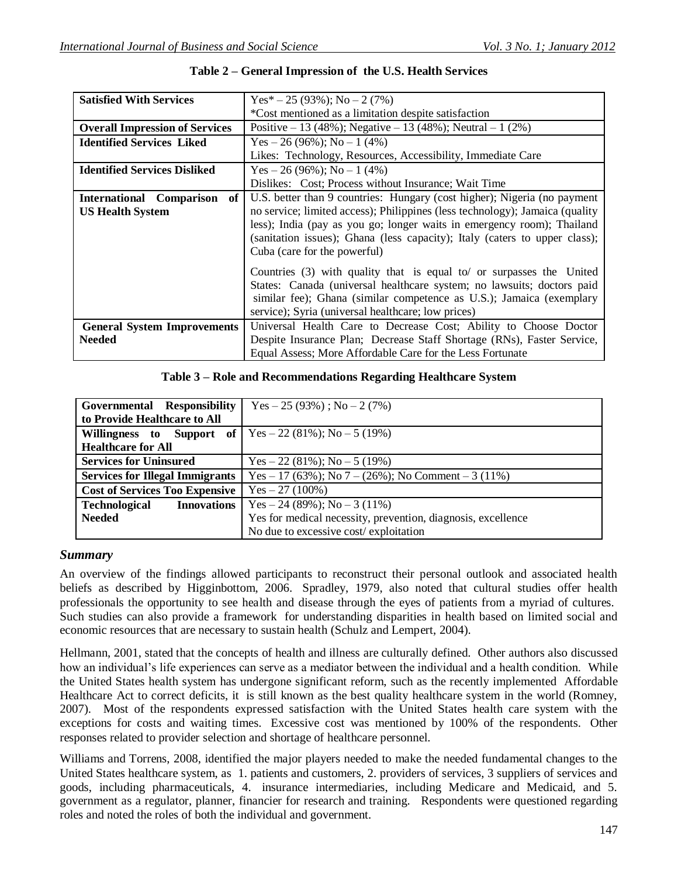| <b>Satisfied With Services</b>                                   | $Yes*-25(93\%); No-2(7\%)$                                                                                                                                                                                                                                                                                                                       |
|------------------------------------------------------------------|--------------------------------------------------------------------------------------------------------------------------------------------------------------------------------------------------------------------------------------------------------------------------------------------------------------------------------------------------|
|                                                                  | *Cost mentioned as a limitation despite satisfaction                                                                                                                                                                                                                                                                                             |
| <b>Overall Impression of Services</b>                            | Positive $-13$ (48%); Negative $-13$ (48%); Neutral $-1$ (2%)                                                                                                                                                                                                                                                                                    |
| <b>Identified Services Liked</b>                                 | Yes $-26(96\%)$ ; No $-1(4\%)$                                                                                                                                                                                                                                                                                                                   |
|                                                                  | Likes: Technology, Resources, Accessibility, Immediate Care                                                                                                                                                                                                                                                                                      |
| <b>Identified Services Disliked</b>                              | Yes $-26(96\%)$ ; No $-1(4\%)$                                                                                                                                                                                                                                                                                                                   |
|                                                                  | Dislikes: Cost; Process without Insurance; Wait Time                                                                                                                                                                                                                                                                                             |
| <b>International Comparison</b><br>of<br><b>US Health System</b> | U.S. better than 9 countries: Hungary (cost higher); Nigeria (no payment<br>no service; limited access); Philippines (less technology); Jamaica (quality<br>less); India (pay as you go; longer waits in emergency room); Thailand<br>(sanitation issues); Ghana (less capacity); Italy (caters to upper class);<br>Cuba (care for the powerful) |
|                                                                  | Countries $(3)$ with quality that is equal to or surpasses the United<br>States: Canada (universal healthcare system; no lawsuits; doctors paid<br>similar fee); Ghana (similar competence as U.S.); Jamaica (exemplary<br>service); Syria (universal healthcare; low prices)                                                                    |
| <b>General System Improvements</b><br><b>Needed</b>              | Universal Health Care to Decrease Cost; Ability to Choose Doctor<br>Despite Insurance Plan; Decrease Staff Shortage (RNs), Faster Service,<br>Equal Assess; More Affordable Care for the Less Fortunate                                                                                                                                          |

**Table 2 – General Impression of the U.S. Health Services**

#### **Table 3 – Role and Recommendations Regarding Healthcare System**

| Governmental Responsibility                                         | $Yes - 25 (93%)$ ; $No - 2 (7%)$                             |
|---------------------------------------------------------------------|--------------------------------------------------------------|
| to Provide Healthcare to All                                        |                                                              |
| <b>Willingness</b> to Support of   $Yes - 22 (81\%)$ ; No - 5 (19%) |                                                              |
| <b>Healthcare for All</b>                                           |                                                              |
| <b>Services for Uninsured</b>                                       | $Yes - 22 (81\%)$ ; No $- 5 (19\%)$                          |
| <b>Services for Illegal Immigrants</b>                              | Yes – 17 (63%); No 7 – (26%); No Comment – 3 (11%)           |
| <b>Cost of Services Too Expensive</b>                               | $Yes - 27 (100%)$                                            |
| <b>Technological</b><br><b>Innovations</b>                          | Yes – 24 (89%); No – 3 (11%)                                 |
| <b>Needed</b>                                                       | Yes for medical necessity, prevention, diagnosis, excellence |
|                                                                     | No due to excessive cost/exploitation                        |

### *Summary*

An overview of the findings allowed participants to reconstruct their personal outlook and associated health beliefs as described by Higginbottom, 2006. Spradley, 1979, also noted that cultural studies offer health professionals the opportunity to see health and disease through the eyes of patients from a myriad of cultures. Such studies can also provide a framework for understanding disparities in health based on limited social and economic resources that are necessary to sustain health (Schulz and Lempert, 2004).

Hellmann, 2001, stated that the concepts of health and illness are culturally defined. Other authors also discussed how an individual's life experiences can serve as a mediator between the individual and a health condition. While the United States health system has undergone significant reform, such as the recently implemented Affordable Healthcare Act to correct deficits, it is still known as the best quality healthcare system in the world (Romney, 2007). Most of the respondents expressed satisfaction with the United States health care system with the exceptions for costs and waiting times. Excessive cost was mentioned by 100% of the respondents. Other responses related to provider selection and shortage of healthcare personnel.

Williams and Torrens, 2008, identified the major players needed to make the needed fundamental changes to the United States healthcare system, as 1. patients and customers, 2. providers of services, 3 suppliers of services and goods, including pharmaceuticals, 4. insurance intermediaries, including Medicare and Medicaid, and 5. government as a regulator, planner, financier for research and training. Respondents were questioned regarding roles and noted the roles of both the individual and government.